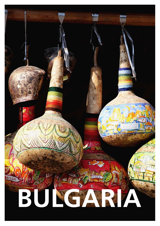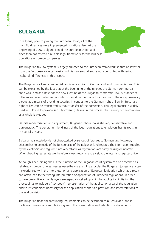# **Bulgaria**

In Bulgaria, prior to joining the European Union, all of the main EU directives were implemented in national law. At the beginning of 2007, Bulgaria joined the European Union and since then has offered a reliable legal framework for the business operations of foreign companies.

The Bulgarian tax law system is largely adjusted to the European framework so that an investor from the European zone can easily find his way around and is not confronted with serious "cultural" differences in this respect.

The Bulgarian civil and commercial law is very similar to German civil and commercial law. This can be explained by the fact that at the beginning of the nineties the German commercial code was used as a basis for the new creation of the Bulgarian commercial law. A number of differences nevertheless remain which should be mentioned such as use of the non-possessory pledge as a means of providing security. In contrast to the German right of lien, in Bulgaria a right of lien can be transferred without transfer of the possession. This legal practice is widely used in Bulgaria to provide security covering claims. In this process the security of the company as a whole is pledged.

Despite modernisation and adjustment, Bulgarian labour law is still very conservative and bureaucratic. The general unfriendliness of the legal regulations to employers has its roots in the socialist years.

Bulgarian real estate law is not characterised by serious differences to German law. However, criticism has to be made of the functionality of the Bulgarian land register. The information supplied by the electronic land register is not very reliable as registrations are partly missing or incorrect. When checking real estate we therefore always recommend a visit to the local land register office.

Although since joining the EU the function of the Bulgarian court system can be described as reliable, a number of weaknesses nevertheless exist. In particular the Bulgarian judges are often inexperienced with the interpretation and application of European legislation which as a result can often lead to the wrong interpretation or application of European regulations. In order to take preventive action lawyers are especially called upon in the application initiating the proceedings to include a "textbook" representation of the application area of the regulation and to list conditions necessary for the application of the said provision and interpretations of the said provision.

The Bulgarian financial accounting requirements can be described as bureaucratic, and in particular bureaucratic regulations govern the presentation and retention of documents.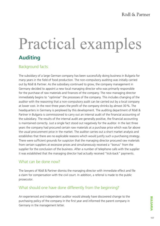# Practical examples **Auditing**

## Background facts:

The subsidiary of a large German company has been successfully doing business in Bulgaria for many years in the field of food production. The non-compulsory auditing was initially carried out by Rödl & Partner. As the subsidiary continued to grow, the company management in Germany decided to appoint a new local managing director who was primarily responsible for the purchase of raw materials and finances of the company. The new managing director immediately begins to "optimise" the processes of the company. This includes changing of the auditor with the reasoning that a non-compulsory audit can be carried out by a local company at lower cost. In the next three years the profit of the company shrinks by almost 30%. The headquarters in Germany is perplexed by this development. The auditing department of Rödl & Partner in Bulgaria is commissioned to carry out an internal audit of the financial accounting of the subsidiary. The results of the internal audit are generally positive, the financial accounting is maintained correctly. Just a single fact stood out negatively for the auditor. In the last three years the company had procured certain raw materials at a purchase price which was far above the usual procurement price in the market. The auditor carries out a short market analysis and establishes that there are no explicable reasons which would justify such a purchasing strategy. There were sufficient grounds for suspicion that the managing director procured raw materials from certain suppliers at excessive prices and simultaneously received a "bonus" from the supplier for the conclusion of the business. After a number of telephone calls with the supplier it was established that the managing director had actually received "kick-back" payments.

## What can be done now?

The lawyers of Rödl & Partner dismiss the managing director with immediate effect and file a claim for compensation with the civil court. In addition, a referral is made to the public prosecutor.

## What should one have done differently from the beginning?

An experienced and independent auditor would already have discovered change to the purchasing policy of the company in the first year and informed the parent company in Germany in the management letter.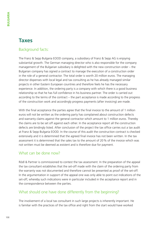## **Taxes**

## Background facts:

The Franz & Sepp Bulgaria EOOD company, a subsidiary of Franz & Sepp AG is enjoying substantial growth. The German managing director who is also responsible for the company management of the Bulgarian subsidiary is delighted with the new construction order – the Bulgarian company has signed a contract to manage the execution of a construction order in the role of a general contractor. The total order is worth 20 million euros. The managing director dispenses with local legal and tax consulting as he has already managed similar projects in other Eastern European countries and therefore feels he has the necessary experience. In addition, the ordering party is a company with which there is a good business relationship so that he has full confidence in his business partner. The order is carried out according to the terms of the contract – the part acceptance is made according to the progress of the construction work and accordingly progress payments (after invoicing) are made.

With the final acceptance the parties agree that the final invoice to the amount of 1 million euros will not be written as the ordering party has complained about construction defects and warranty claims against the general contractor which amount to 1 million euros. Thereby the claims are to be set off against each other. In the acceptance report all the construction defects are bindingly listed. After conclusion of the project the tax office carries out a tax audit at Franz & Sepp Bulgaria EOOD. In the course of this audit the construction contract is checked extensively and it is determined that the agreed final invoice has not been written. In the tax assessment it is determined that the sales tax to the amount of 20% of the invoice which was not written must be deemed as existent and is therefore due for payment.

## What can be done now?

Rödl & Partner is commissioned to contest the tax assessment. In the preparation of the appeal the tax consultant establishes that the set-off made with the claim of the ordering party from the warranty was not documented and therefore cannot be presented as proof of the set-off. In the argumentation in support of the appeal one was only able to point out indications of the set-off, whereby such indications were in particular included in the acceptance report and in the correspondence between the parties.

## What should one have done differently from the beginning?

The involvement of a local tax consultant in such large projects is inherently important. He is familiar with the practices of the tax office and right from the start would have worked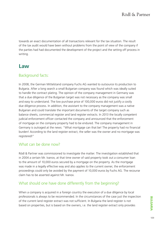towards an exact documentation of all transactions relevant for the tax situation. The result of the tax audit would have been without problems from the point of view of the company if the parties had had documented the development of the project and the setting off process in writing.

## **Law**

### Background facts:

In 2008, the German Mittelstand company Fuchs AG wanted to outsource its production to Bulgaria. After a long search a small Bulgarian company was found which was ideally suited to handle the contract plating. The opinion of the company management in Germany was that a due diligence of the Bulgarian target was not necessary as the company was small and easy to understand. The low purchase price of 100,000 euros did not justify a costly due diligence process. In addition, the assistant to the company management was a native Bulgarian and could translate the important documents of the target company such as balance sheets, commercial register and land register extracts. In 2013 the locally competent judicial enforcement officer contacted the company and announced that the enforcement of mortgage on the company property had to be endured. The company management in Germany is outraged at the news: "What mortgage can that be! The property had no financial burden! According to the land register extract, the seller was the owner and no mortgage was registered!"

### What can be done now?

Rödl & Partner was commissioned to investigate the matter. The investigation established that in 2004 a certain Mr. Ivanov, at that time owner of said property took out a consumer loan to the amount of 10,000 euros secured by a mortgage on the property. As the mortgage was made in a legally effective way and also applies to the current owner, the enforcement proceedings could only be avoided by the payment of 10,000 euros by Fuchs AG. The recourse claim has to be asserted against Mr. Ivanov.

## What should one have done differently from the beginning?

When a company is acquired in a foreign country the execution of a due diligence by local professionals is always to be recommended. In the circumstances of the case just the inspection of the current land register extract was not sufficient. In Bulgaria the land register is not based on properties, but is based on the owners, i.e. the land register extract only provides